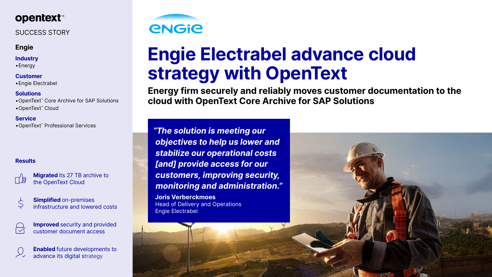

# SUCCESS STORY

### **Engie**

### **Industry**

•Energy

**Customer**  •Engie Electrabel

**Solutions**  •OpenText™ Core Archive for SAP Solutions •OpenText™ Cloud

> **Migrated** its 27 TB archive to the OpenText Cloud

| $\overline{\mathcal{L}}$  | <b>Simplified on-premises</b>    |
|---------------------------|----------------------------------|
| $\small \bigtriangledown$ | infrastructure and lowered costs |

**Service**  •OpenText™ Professional Services

> **Improved** security and provided customer document access

### **Results**





# **Engie Electrabel advance cloud strategy with OpenText**

**Energy firm securely and reliably moves customer documentation to the cloud with OpenText Core Archive for SAP Solutions** 

*"The solution is meeting our objectives to help us lower and stabilize our operational costs [and] provide access for our customers, improving security, monitoring and administration."* 

**Joris Verberckmoes**  Head of Delivery and Operations Engie Electrabel

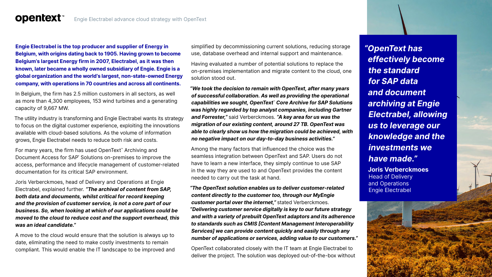### Engie Electrabel advance cloud strategy with OpenText

**Engie Electrabel is the top producer and supplier of Energy in Belgium, with origins dating back to 1905. Having grown to become Belgium's largest Energy firm in 2007, Electrabel, as it was then known, later became a wholly owned subsidiary of Engie. Engie is a global organization and the world's largest, non-state-owned Energy company, with operations in 70 countries and across all continents.** 

**opentext™** 

In Belgium, the firm has 2.5 million customers in all sectors, as well as more than 4,300 employees, 153 wind turbines and a generating capacity of 9,667 MW.

The utility industry is transforming and Engie Electrabel wants its strategy to focus on the digital customer experience, exploiting the innovations available with cloud-based solutions. As the volume of information grows, Engie Electrabel needs to reduce both risk and costs.

For many years, the firm has used OpenText™ Archiving and Document Access for SAP<sup>®</sup> Solutions on-premises to improve the access, performance and lifecycle management of customer-related documentation for its critical SAP environment.

Joris Verberckmoes, head of Delivery and Operations at Engie Electrabel, explained further. *"The archival of content from SAP, both data and documents, whilst critical for record keeping and the provision of customer service, is not a core part of our business. So, when looking at which of our applications could be moved to the cloud to reduce cost and the support overhead, this was an ideal candidate."* 

A move to the cloud would ensure that the solution is always up to date, eliminating the need to make costly investments to remain compliant. This would enable the IT landscape to be improved and

simplified by decommissioning current solutions, reducing storage use, database overhead and internal support and maintenance.

Having evaluated a number of potential solutions to replace the on-premises implementation and migrate content to the cloud, one solution stood out.

*"We took the decision to remain with OpenText, after many years of successful collaboration. As well as providing the operational capabilities we sought, OpenText*™ *Core Archive for SAP Solutions was highly regarded by top analyst companies, including Gartner and Forrester,"* said Verberckmoes. *"A key area for us was the migration of our existing content, around 27 TB. OpenText was able to clearly show us how the migration could be achieved, with no negative impact on our day-to-day business activities."* 

Among the many factors that influenced the choice was the seamless integration between OpenText and SAP. Users do not have to learn a new interface, they simply continue to use SAP in the way they are used to and OpenText provides the content needed to carry out the task at hand.

*"The OpenText solution enables us to deliver customer-related content directly to the customer too, through our MyEngie customer portal over the internet,"* stated Verberckmoes. *"Delivering customer service digitally is key to our future strategy and with a variety of prebuilt OpenText adaptors and its adherence to standards such as CMIS [Content Management Interoperability Services] we can provide content quickly and easily through any number of applications or services, adding value to our customers."* 

OpenText collaborated closely with the IT team at Engie Electrabel to deliver the project. The solution was deployed out-of-the-box without *"OpenText has effectively become the standard for SAP data and document archiving at Engie Electrabel, allowing us to leverage our knowledge and the investments we have made."*  **Joris Verberckmoes** 

Head of Delivery and Operations Engie Electrabel